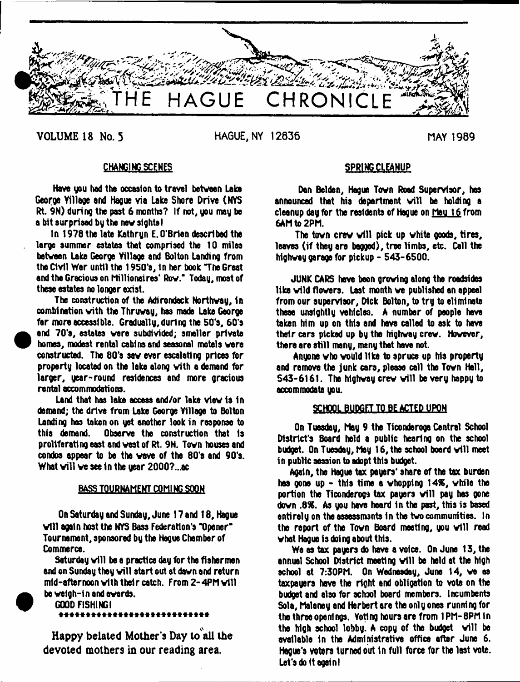

**VOLUME 18 No. 5 HAGUE, NY 12836 MAY 1989**

**•** 

 $\bullet$ 

# **CHANGING SCENES**

Have you had the occasion to travel between lake George Village and Hague via Lake Shore Drive (NYS Rt. 9N) during the past 6 months? If not, you may be a bit surprised by the new sights!

tn 1978 the late Kathryn E. O'Brien described the large summer estates that comprised the 10 miles between Lake George Village and Bolton Landing from the Civil War until the 1950's, In her book The Great and the Gracious on Millionaires' Row." Today, most of these estates no longer exist.

The construction of the Adirondack Northway, in combination with the Thruway, has made Lake George far more accessible. Gradually, during the 50's, 60\*3 and 70's, estates were subdivided; smaller private homes, modest rental cabins and seasonal motels were constructed. The 80's saw ever escalating prices for property located on the lake along with a demand for larger, year-round residences and more gracious rental accommodations.

Land that has lake access and/or lake view is In demand; the drive from Lake George Village to Bolton Landing has taken on yet another look in response to this demand. Observe the construction that Is proliferating east and west of Rt. 9N. Town houses and condos appear to be the wave of the 80's and 90's. What will we see in the year 2000?...ac

# BASS TOURNAMENT C0M1N6 SOON

On Saturday and Sunday, June 17 and 18, Hague will again host the NYS Bass Federation's "Opener" Tournament, sponsored by the Hague Chamber of Commerce.

Saturday will be a practice day for the fishermen and on Sunday they will start out at dawn and return mid-afternoon with their catch. From 2-4PM will be weigh-in and awards.

GOOD FISHING! \*\*\*\*\*\*\*\*\*\*\*\*\*\*\*\*\*\*\*\*\*\*\*\*\*\*\*\*

Happy belated Mother's Day to all the devoted mothers in our reading area.

# **SPRING CLEANUP**

Dan Belden, Hague Town Road Supervisor, has announced that his department will be holding a cleanup day for the residents of Hague on Mau 16 from 6AM to 2PM.

The town crew will pick up white goods, tires, leaves (if they are begged), tree limbs, etc. Call the highway garage for pickup - 543-6500.

JUNK CARS have been growing along the roadsides like wild flowers. Last month we published an appeal from our supervisor, Dick Bolton, to try to eliminate these unsightly vehicles. A number of people have taken him up on this and have called to ask to have their cars picked up by the highway crew. However, there are still many, many that have not.

Anyone who would like to spruce up his property and remove the junk cars, please call the Town Hall, 543-6161. The highway crew will be very happy to accommodate you.

# SCHOOL BUDGET TO BE ACTED UPON

On Tuesday, May 9 the Ticonderoga Central School District's Board held a public hearing on the school budget. On Tuesday, May 16, the school board will meet in public session to adopt this budget.

Again, the Hague tax payers\* share of the tax burden has gone up - this time a whopping 14%, while the portion the Ticonderoga tax payers will pay has gone down .8%. As you have heard in the past, this is based entirely on the assessments in the two communities. In the report of the Town Board meeting, you will read what Haque is doing about this.

We as tax payers do have a voice. On June 13, the ennual School District meeting will be held at the high school at 7:30PM. On Wednesday, June 14, we as taxpayers have the right and obligation to vote on the budget and also for school board members. Incumbents Sola, Malaney and Herbert are the only ones running for the three openings. Voting hours are from 1PM-8PM In the high school lobby. A copy of the budget will be available In the Administrative office after June 6. Hague's voters turned out In full force for the lest vote. Let's do it again!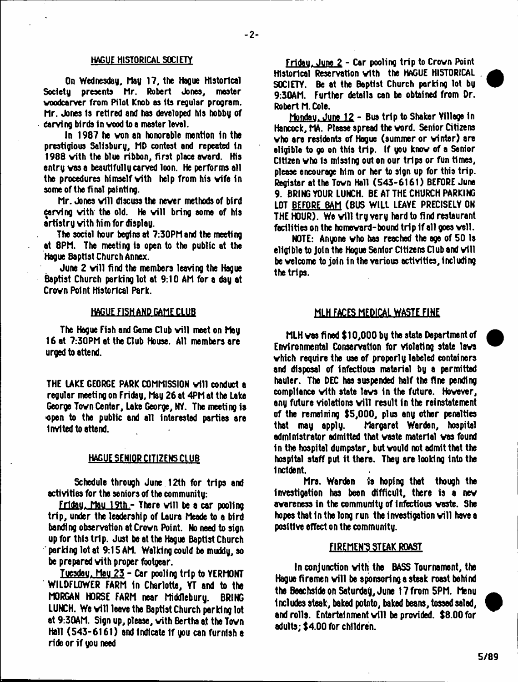# HAGUE HISTORICAL SOCIETY

On Wednesday, hay 17, the Hague Historical Society presents Mr. Robert Jones, master voodcarver from Pilot Knob as Its regular program. Mr. Jones Is retired and has developed his hobby of Carving birds in vood to a master level.

In 1987 he von an honorable mention In the prestigious Salisbury, MD contest and repeated in 1988 vith the blue ribbon, first place award. His entry vas a beautifully carved loon. He performs all the procedures himself vith help from his wife in some of the final painting.

Mr. Jones will discuss the never methods of bird carving vith the old. He will bring some of his artistry vith him for display.

The social hour begins at 7:30PM and the meeting at 8PM. The meeting is open to the public at the Hague 8apt1st Church Annex.

June 2 will find the members leaving the Hague Baptist Church parking lot at 9:10 AM for a day at Crown Point Historical Park.

# HAGUE FISH AND GAME CLUB

The Hague Fish and Game Club will meet on May 16 at 7:30PM at the Club House. All members are urged to attend.

THE LAKE GEORGE PARK COMMISSION v ill conduct a regular meeting on Friday, May 26 at 4PM at the Lake George Town Center, Lake George, NY. The meeting is •open to the public and all interested parties are Invited to attend.

## HAGUE SENIOR CITIZENS CLUB

Schedule through June 12th for trips and activities for the seniors of the community:

Friday, May 19th - There will be a car pooling trip, under the leadership of Laura Meade to a bird banding observation at Crovn Point. No need to sign up for this trip. Just be at the Hague Baptist Church parking lot at 9:15 AM. Walking could be muddy, so be prepared vith proper footgear.

Tuesday, May  $23$  - Car pooling trip to YERMONT WILDFL0WER FARM in Charlotte, YT and to the MORGAN HORSE FARM near Middlebury. BRING LUNCH. We will leave the Baptist Church parking lot at 9:30AM. Sign up, please, vith Bertha at the Town Hall (543-6161) and indicate if you can furnish a ride or if you need

fridau. June 2 - Car pooling trip to Crown Point Historical Reservation vith the HAGUE HISTORICAL . SOCIETY. Be at the Baptist Church perking lot by 9:30AM. Further details can be obtained from Dr. Robert M. Cole.

Mondau. June 12 - Bus trip to Shaker Yillege in Hancock, MA. Please spread the word. Senior Citizens who are residents of Hague (summer or winter) are eligible to go on this trip. If you know of a Senior Citizen vho Is missing out on our trips or fun times, please encourage him or her to sign up for this trip. Register at the Town Hall (543-6161) BEFORE June 9. BRING YOUR LUNCH. BE AT THE CHURCH PARKING LOT BEFORE 8AM (BUS WILL LEAYE PRECISELY ON THE HOUR). We will try very hard to find restaurant facilities on the homeward-bound trip if all goes veil.

NOTE: Anyone vho has reached the age of 50 Is eligible to Join the Hogue Senior Citizens Dub and vill be welcome to join in the various activities, including the trips.

## MLH FACES MEDICAL WASTE FINE

MLH vas fi ned \$ 10,000 by the state Department of Environmental Conservation for violating state levs vhich require the use of properly labeled containers and disposal of infectious material by a permitted hauler. The DEC has suspended half the fine pending compliance vith state lavs in the future. However, any future violations will result in the reinstatement of the remaining \$5,000, plus any other penalties<br>that may apply. Maroaret Warden, hospital Margaret Warden, hospital administrator admitted that vaste material vas found in the hospital dumpster, but vould not admit that the hospital staff put It there. They are looking into the Incident.

Mrs. Warden is hoping that though the Investigation has been difficult, there is a new awareness in the community of Infectious vaste. She hopes that in the long run the investigation will have a positive effect on the community.

### FIREMEN'S STEAK ROAST

In conjunction vith the BASS Tournament, the Hague firemen will be sponsoring a steak roast behind the Beachside on Saturday, June 17 from 5PM. Menu includes steak, baked potato, baked beans, tossed salad, and rolls. Entertainment will be provided. \$8.00 for adults; \$4.00 for children.

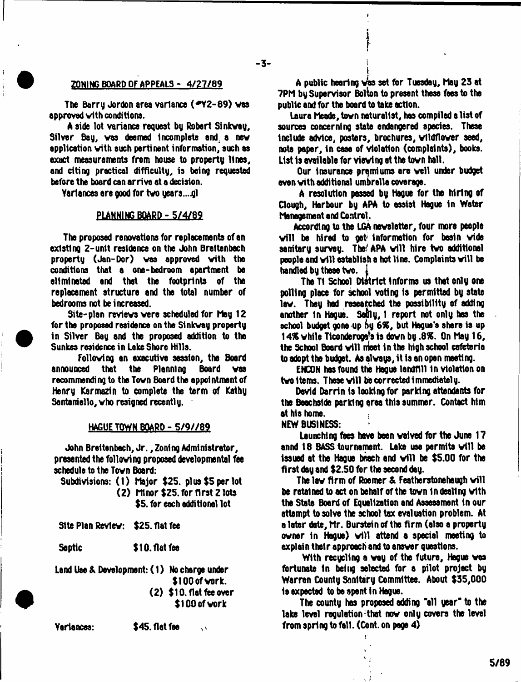# **ZONING BOARD OF APPEALS - 4/27/89**

The Barry Jordon area variance (\*Y2-89) was approved vith conditions.

A side lot variance request by Robert Sinkvay, Silver Bay, vas deemed incomplete and, a nev application vith such pertinent information, such as exact measurements from house to property lines, and citing practical difficulty, is being requested before the board can arrive at a decision.

Yariances are good for two years...gl

# PLANNING BOARD -5/4/89

The proposed renovations for replacements of an existing 2-unit residence on the John Breltenbach property (Jan-Dor) vas approved vith the conditions that a one-bedroom apartment be eliminated and that the footprints of the replacement structure and the total number of bedrooms not be increased.

Site-plan reviews were scheduled for Mau 12 for the proposed residence on the Sinkvay property In Silver Bay and the proposed addition to the Sunkes residence in lake Shore Hills.

Following an executive session, the Board<br>ced - that - the - Planning - Board - was announced that the recommending to the Tovn Board the appointment of Henry Karmazin to complete the term of Kathy Santamello, who resigned recently.

### HAGUE TOWN BOARD - S/9//89

John Breitenbach, Jr., Zoning Administrator, presented the folloving proposed developmental fee schedule to the Tovn Board:

Subdivisions: (1) Major \$25. plus \$5 per lot (2) Minor \$25. for first 2 lots \$5. for each additional lot

Site Plan Revlev: \$25. flat fee

Septic \$10. flat fee

land Use & Development: (1) No charge under \$100 of work. (2) \$10. flat fee over

\$100 of vork

Variances: \$45. flat fee

A public hearing  $\sqrt{as}$  set for Tuesday, May 23 at 7PM by Supervisor Bolton to present these fees to the public and for the board to take action.

I

Laura heade, tovn naturalist, has compiled a list of sources concerning state endangered species. These Include advice, posters, brochures, vildflover seed, note paper. In case of violation (complaints), books. List 1s available for viewing at the tovn hall.

Our Insurance premiums are veil under budget even vith additional umbrella coverage.

A resolution passed by Hogue for the hiring of Clough, Harbour by APA to assist Hague in Water Management and Control.

According to the LGA newsletter, four more people will be hired to get information for besin wide sanitary survey. The APA will hire two additional people and will establish a hot line. Complaints will be handled by these tvo. 1

The T1 School District Informs us that only one polling place for school voting is permitted by state law. They had researched the possibility of adding another In Hague. Softly, I report not only has the school budget gone up by 65C, but Hague's share Is up 14% while Ticonderoos's is down by .8%. On May 16, the School Board will meet in the high school cafeteria to adopt the budget. As always, It is an open meeting.

ENCQN has found the Hague landfill in violation on two items. These will be corrected immediately.

David Darrin is looking for parking attendants for the Beachslde parking area this summer. Contact him at his home.

NEW BUSINESS:

Launching fees have been waived for the June 17 annd 18 BASS tournament. Lake use permits will be issued at the Hague beach and will be \$5.00 for the first day and \$2.50 for the second day.

The law firm of Roomer & Featherstonehaugh will be retained to act on behalf of the tovn indealing vith the State Board of Equalization and Assessment in our attempt to solve the school tax evaluation problem. At a later date, Mr. Burstain of the firm (also a property owner in Hague) will attend a special meeting to explain their approach and to answer questions.

With recycling a way of the future, Hague vas fortunate In being selected fer a pilot project by Warren County Sanitary Committee. About \$35,000 is expected to be spent in Hague.

The county has proposed adding "all year" to the lake level requlation that now only covers the level from spring to fell. (Cont. on page 4)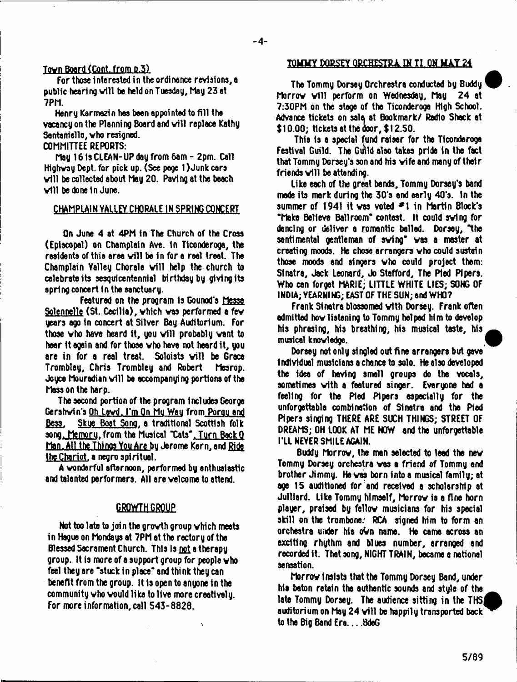# Tovn Board (Cont. from P.3)

For those interested in the ordinance revisions, a public hearing will be held on Tuesday, May 23 at 7PM.

Henry Karmezi n haa been appoi nted to fill the vacancy on the Planning Board and will replace Kathy Santamello, vho resigned.

COMMITTEE REPORTS:

May 161sCLEAN-UPdayfrom6am- 2pm. Call Highvay Dept, for pick up. (See page 1) Junk care will be collected about May 20. Paving at the beach will be done in June.

# CHAMPLAIN VALLEY CHORALE 1H SPRING CONCERT

On June 4 at 4PM in The Church of the Croaa (Episcopal) on Champlain Ave. In Ticonderoga, the residents of this area will be in for a real treat. The Champlain Yalley Chorale will help the church to celebrate its sesquicentennial birthday by giving its spring concert in the sanctuary.

Featured on the program Is Gounod's Messe Solcnnelle (St. Cecilia), vhich vas performed a fev years ago In concert at Silver Bay Auditorium. For those who have heard it, you will probably want to hear It again and for those vho have not heard It, you are in for a real treat. Soloists will be Grace Trombley, Chris Trombley and Robert Mesrop. Joyce Mouradian will be accompanying portions of the Masson the harp.

The second portion of the program Includes George Gershvin's Oh Lavd. I'm On Mu Wau from Porou and Bess. Skue Boat Song, a traditional Scottish folk aona. Memoru.frotn the Musical Tate'.Turn BackQ <u>Man. All the Things You Are by Jerome Kern, and Ride</u> the Chariot, a negro apt ritual.

A vonderful afternoon, performed by enthusleatlc and talented performers. All are velcome to attend.

# GROWTH GROUP

Not too late to join the grovth group vhich meets in Hague on Mondays at 7PM at the rectory of the Blessed Sacrament Church. This Is not a therapy group. It is more of a support group for people vho feel they are "stuck in place" and think they can benefit from the group. It Is open to anyone in the community vho vould like to live more creatively. For more information, call 543-8828.

# **TOMMY DORSEY ORCHESTRA IN TI ON MAY 24**

The Tommy Dorsey Orchrestra conducted by Buddy Morrow will perform on Wednesday, May 24 at 7:30PM on the stage of the Ticonderoga High School. Advance tickets on sale at Bookmark/ Radio Shack at 110.00; tickets at the door, \$12.50.

This is a special fund raiser for the Ticonderoga Festival Guild. The Guild also takes pride in the fact that Tommy Dorsey's son and his vife and many of their friends will be attending.

Like each of the great bands. Tommy Dorsey's band made its mark during the 30's and early 40's. In the summer of 1941 it was voted  $\blacktriangleright$  1 in Martin Block's "Make Believe Ballroom" contest. It could svlng for dancing or deliver a romantic belled. Dorsey, "the sentimental gentleman of sving" vas a master at creating moods. He chose arrangers vho could sustain those moods and singers vho could project them: Sinatra, Jack Leonard, Jo Stafford, The Pied Pipers. Who can forget MARIE; LITTLE WHITE LIES; SONG OF INDIA; YEARNING; EAST OF THE SUN; and WHO?

Frank Sinatra blossomed vith Dorsey. Frank often admitted hov listening to Tommy helped Mm to develop his phrasing, his breathing, his musical taste, his musical knoviedge.

Dorsey not only singled out fine arrangers but gave Individual musicians a chance to solo. He also developed the idee of having small groups do the vocals, sometimes vith a featured singer. Everyone had a feeling for the Pted Pipers especially for the unforgettable comMnetlon of Sinatra and the Pied Pipers singing THERE ARE SUCH THINGS; STREET OF DREAMS; OH LOOK AT ME NOW and the unforgettable I'Ll NEVER SMILE AGAIN.

Buddy Morrov, the men selected to lead the nev Tommy Dorsey orchestra vas a friend of Tommy end brother Jimmy. He vas born into a musical family; at age 15 auditioned for and received a scholarship at Julilard. Like Tommy himself, Morrow is a fine horn player, praised by fellow musicians for his special skill on the trombone. RCA signed him to form an orchestra under Ms obn name. He came across an exciting rhythm and blues number, arranged and recorded it. That song, NIGHT TRAIN, became a national sensation.

Morrov Insists that the Tommy Dorsey Band, under Ms baton retain the authentic sounds and style of the late Tommy Dorsey. The audience sitting in the THS auditorium on May 24 will be happily transported back to the Big Band Era....BdeG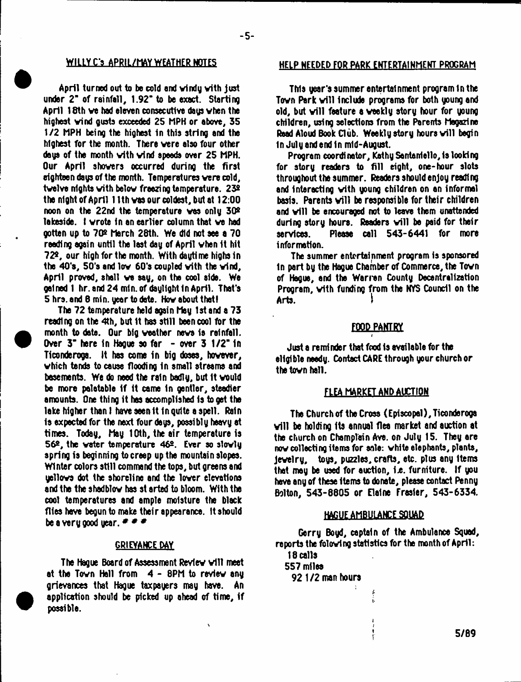April turned out to be cold and vindy vith just under 2" of rainfall, 1.92" to be exact. Starting April 18th ve had eleven consecutive days vhen the highest vind gusts exceeded 25 MPH or above, 35 1/2 MPH being the highest In this string and the highest for the month. There vere also four other days of the month vith vind speeds over 25 MPH. Our April shovers occurred during the first eighteen days of the month. Temperatures vere cold, twelve nights with below freezing temperature. 23º the night of April 11th vas our coldest, but at 12:00 noon on the 22nd the temperature ves only 30\* lakeside. I wrote in an earlier column that ve had gotten up to 70\* March 28th. We did not see a 70 reeding again until the last day of April vhen It hit 72\*, our high for the month. With daytime highs 1n the 40's, 50's and lov 60's coupled vith the vind, April proved, shall ve eay, on the cool side. We gained 1 hr. and 24 min. of daylight In April. That's 5 hrs.and 6 min. year to date. Hov about thetl

The 72 temperature held again May 1st and a 73 reading on the 4th, but it has still been cool for the month to date. Our big weather news is reinfall. Over 3" here in Hague so far - over 3 1/2" in Ticonderoga. It has come in big doses, however, vhich tends to cause flooding in small streams and basements. We do need the rain badly, but it would be more palatable if it came in gentler, steadier amounts. One thing it has accomplished is to get the lake higher than I have seen ft In quite a spell. Rain is expected for the next four days, possibly heavy at times. Today, May 10th, the air temperature is 56\*, the water temperature 46\*. Ever so slowly spring is beginning to creep up the mountain slopes. Winter colors still command the tops, but greens and yellows dot the shoreline and the lover elevations and the the shadblov has st arted to bloom. With the cool temperatures and ample moisture the black flies have begun to make their appearance. It should be a very good year.  $# # #$ 

# GRIEVANCE DAY

The Hague Board of Assessment Review will meet at the Tovn Hall from 4 - 8PM to review any grievances that Hague taxpayers may have. An application should be picked up ahead of time, if possible.

# WILLY C'S APRIL/MAY WEATHER NOTES HELP NEEDED FOR PARK ENTERTAINMENT PROGRAM

This year's summer entertainment program in the Town Park will include programs for both young and old, but will feature a weekly story hour for young children, using selections from the Parents Magazine Read Aloud Book Club. Weekly story hours will begin in July and end In mid-August.

Program coordinator, Kathy Santaniello, is looking for story readers to fill eight, one-hour slots throughout the summer. Readers should enjoy reading and interacting vith young children on an informal basis. Parents will be responsible for their children and will be encouraged not to leave them unattended during story hours. Readers will be paid for their services. Please call 543-6441 for more information.

The summer entertainment program is sponsored In part by the Hague Chamber of Commerce, the Tovn of Hague, end the Warren County Decentralization Program, vith funding from the NYS Council on the Arts.

#### FOOD PANTRY r

Just a reminder that food is available for the eligible needy. Contact CARE through your church or the tovn hall.

## FLEA MARKET AND AUCTION

The Church of the Cross (Episcopal), Ticonderoga will be holding its annual flea market and auction at the church on Champlain Ave. on July 15. They are now collecting items for sale: white elephants, plants, jevelry, toys, puzzles, crafts, etc. plus any Items that may be used for auction, i.e. furniture. If you have any of these items to donete, please contact Penny Bolton, 543-8805 or Elaine Frasier, 543-6334.

# HAGUE AMBULANCE SQUAD

Gerry Boyd, captain of the Ambulance Squad, reports the folowing statistics for the month of April:

> ţ. î.

18 calls 557 miles 92 1/2 man hours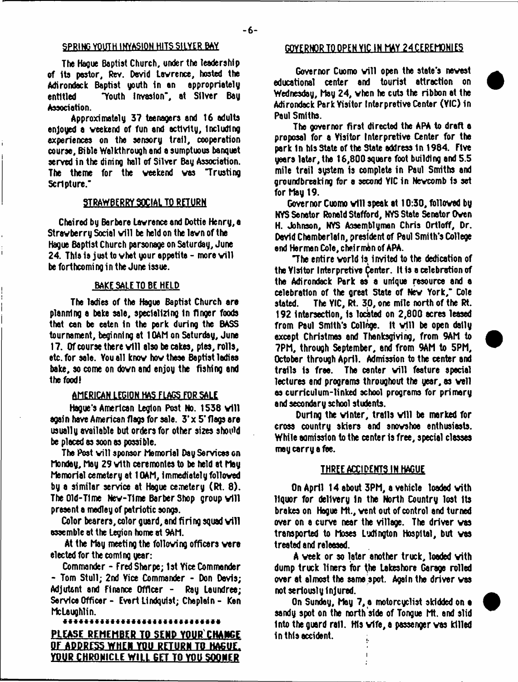The Hague Baptist Church, under the leadership of its pastor, Rev. David Lawrence, hosted the Adirondack Baptist youth in an appropriately entitled "Youth Invasion\*, at Silver Bay Association.

Approximately 37 teenagers end 16 adults enjoyed a weekend of fun and activity, including experiences on the sensory trail, cooperation course, Bible Walkthrough and a sumptuous banquet served in the dining hall of Silver Bay Association. The theme for the weekend ves "Trusting Scripture."

### STRAWBERRY SOCIAL TO RETURN

Chaired by Barbere Lawrence end Dottie Henry, e Strawberry Social will be held on the lawn of the Hague Baptist Church parsonage on Saturday, June 24. Thla is just to whet your appetite - more will be forthcomi ng in the June issue.

# BAKE SALE TO BE HELD

The ladies of the Hague Baptist Church are planning a bake sale, specializing in finger foods that can be eaten in the park during the BASS tournament, beginning et 10AM on Saturday, June 17. Of course there will also be cakes, pies, rolls, etc. for sale. You ell know how these Baptist ladies bake, so come on down end enjoy the fishing end the food!

#### AMERICAN LEGION HAS FLAGS FOR SALE

Hague's American Legion Post No. 1536 will again have American flags for sale. 3 'x 5 'flags are usually available but orders for other sizes should be pieced as soon as possible.

The Post will sponsor Memorial Day Services on Monday, May 29 with ceremonies to be held at May Memorial cemetery et 10AM, Immediately followed by a similar service at Hague cemetery (Rt. 8). The Old-Time Nev-Time Berber Shop group will preaent a medley of patriotic songs.

Color bearers, color guard, and firing squad will assemble at the Legion home at 9AM.

At the May meeting the following officers were elected for the coming year:

Commander - Fred Sharpe; 1st Yice Commander - Tom Stull; 2nd Yice Commander - Don Devis; Adjutant and Finance Officer - Ray Laundree; Service Officer - Evert Lindquist; Cheplein - Ken McLaughlin.

# PLEASE REMEMBER TO SEND YOUR CHANGE OF ADDRESS WHEN YOU RETURN TO HAGUE. YOUR CHRONICLE WILL GET TO YOU SOONER

# SPRING YOUTH INVASION HITS SILYER BAY GOYERNOR TO OPEN YIC IN MAY 24 CEREMONIES

Governor Cuomo will open the state's newest educational center and tourist attraction on Wednesday, May 24, vhen he cuts the ribbon at the Adirondack Park Visitor Interpretive Center (YIC) In Paul Smiths.

The governor first directed the APA to draft a proposal for a Visitor Interpretive Center for the park In his State of the State address In 1984. Five gears later, the 16,800square foot building and 5.5 mile trail system is complete in Paul Smiths and groundbreaking for a second YIC in Newcomb Is set for May 19.

Governor Cuomo will speak at 10:30, followed by NYS Senator Ronald Stafford, NYS State Senator Owen H. Johnson, NYS Assemblyman Chris Ortloff, Dr. David Chamberlain, president of Paul Smith's College end Herman Cole, chairman of APA.

"The entire world Is Invited to the dedication of the Ylsitor Interpretive Center. It is a celebration of the Adirondack Park as a unique resource and a celebration of the great State of New York," Cole stated. The YIC, Rt. 30, one mile north of the Rt. 192 intersection, is located on 2,800 acres leased from Paul Smith's College. It will be open dally except Christmas and Thanksgiving, from 9AM to 7PM, through September, and from 9AM to 5PM, October through April. Admission to the center and trails is free. The center will feature special lectures and programs throughout the year, as vail as curriculum-linked school programs for primary and secondary school students.

During the winter, trails will be marked for cross country skiers and snovshoe enthusiasts. While admission to the center is free, special classes may carry a foe.

# THREE ACCIDENTS IN HAGUE

On April 14 about 3PM, a vehicle loaded vith liquor for delivery In the North Country lost Its brakes on Hague Mt., vent out of control and turned over on a curve near the village. The driver vas transported to Moses Ludington Hospital, but vas treated and released.

A veek or so later another truck, loaded vith dump truck liners for the Lekeshore Garage rolled over at almost the same spot. Again the driver vas not seriously Injured.

On Sunday, May 7, a motorcyclist skidded on a sandy spot on the north side of Tongue Mt. and slid Into the guard rail. His vffe, a passenger vas killed in this accident.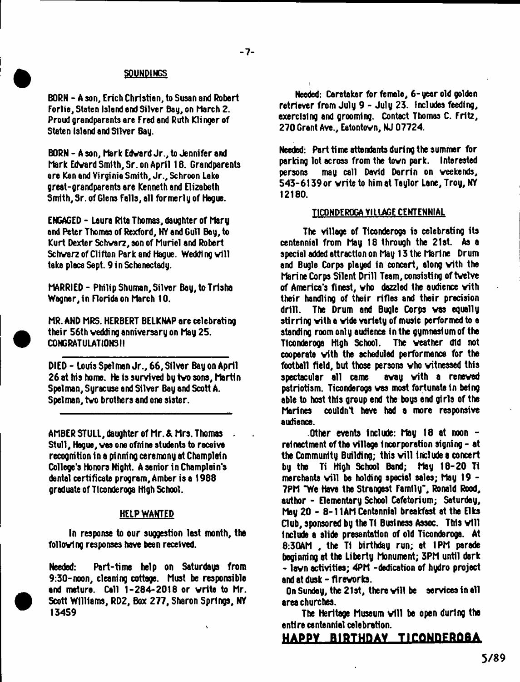# SOUNDINGS

- 7-

BORN - A son, Erich Christian, to Susan and Robert Forlie, Staten Island end Silver Bay, on March 2. Proud grandparents are Fred and Ruth Klinger of Staten Island and Silver Bay.

BORN - A son, Mark Edvard Jr., to Jennifer and Mark Edvard Smith, Sr. on April 18. Grandparents ere Ken and Virginia Smith, Jr., Schroon Lake great-grandparents are Kenneth and Elizabeth Smith, Sr. of Glens Falls, all formerly of Hogue.

ENGAGED - Laura Rita Thomas, daughter of Mary and Peter Thomas of Rexford, NY and Gull Bay, to Kurt Dexter Schvarz, son of Muriel and Robert Schwarz of Clifton Park and Hague. Wedding will take place Sept. 9 in Schenectady.

MARRIED - Philip Shuman, Silver Bay, to Trisha Wagner, in Florida on March 10.

MR. AND MRS. HERBERT BELKNAP ere celebrating their 56th vedding anniversary on May 25. CONGRATULATIONS 11

DIED - Louis Spelman Jr., 66, Silver Bay on April 26 at his home. He is survived by tvo sons, Martin Spel man, Syracuse and Silver Bay and Scott A. Spel man, tvo brothers and one sister.

AMBER STULL, daughter of Mr. & Mrs. Thomas ~ Stull, Hegue, was one ofnine students to receive recognition in a pinning ceremony at Champlain College's Honors Night. A senior in Champlain's dental certificate program. Amber is a 1988 graduate of Ticonderoga High School.

# HELP WANTED

In response to our suggestion last month, the following responses have been received.

Needed: Pert-time help on Saturdeys from 9:30-noon, cleaning cottage. Must be responsible end mature. Call 1-284-2018 or write to Mr. Scott Williams, RD2, Box 277, Sharon Springs, *Hi* 134S9

Needed: Caretaker for female, 6-year old golden retriever from July 9 - July 23. Includes feeding, exercising end grooming. Contact Thomas C. Fritz, 270 Grant Ave., Eatontovn, NJ 07724.

Needed: Pert time attendants during the summer for parking lot across from the tovn park. Interested persons may call David Darrin on weekends, 543-6139 or write to him at Taylor Lane, Troy, NY 12180.

# TICONDEROGA VILLAGE CENTENNIAL

The village of Ticonderoga is celebrating its centennial from May 18 through the 21st. As a special added attraction on May 13 the Marine Drum and Bugle Corps played In concert, along vith the Marine Corps Silent Drill Teem, consisting of twelve of America's finest, vho dazzled the audience vith their handling of their rifles and their precision drill. The Drum and Bugle Corps was equally stirring vith e vide variety of music performed to e standing room only audience in the gymnasium of the Ticonderoga High School. The weather did not cooperate vith the echeduled performance for the football field, but those persons vho witnessed this spectacular all came evay vith a renewed patriotism. Ticonderoga vas most fortunate In being able to host this group end the boys end girls of the Marines couldn't hove had e more responsive audience.

Other events Include: May 18 et noon relnactment of the village incorporation signing - at the Community Building; this will include a concert by the Ti High School Bend; May 18-20 T1 merchants will be holding special sales; May 19 -7PM "We Have the Strangest Family", Ronald Rood, author - Elementary School Cafetorium; Saturday, May 20 - 8-11AM Centennial breakfast at the Elks Club, sponsored by the Ti Business Assoc. This will Include e slide presentation of old Ticonderoga. At 8:30AM, the Ti birthday run; at 1PM parade beginning at the Liberty Monument; 3PM until dark - lawn activities; 4PM -dedication of hydro project and at dusk - fireworks.

On Sunday, the 21st, there will be services in all area churches.

The Heritage Museum will be open during the entire centennial celebration.

# **HAPPY BIPTHnAV TirOMDEPOBA**